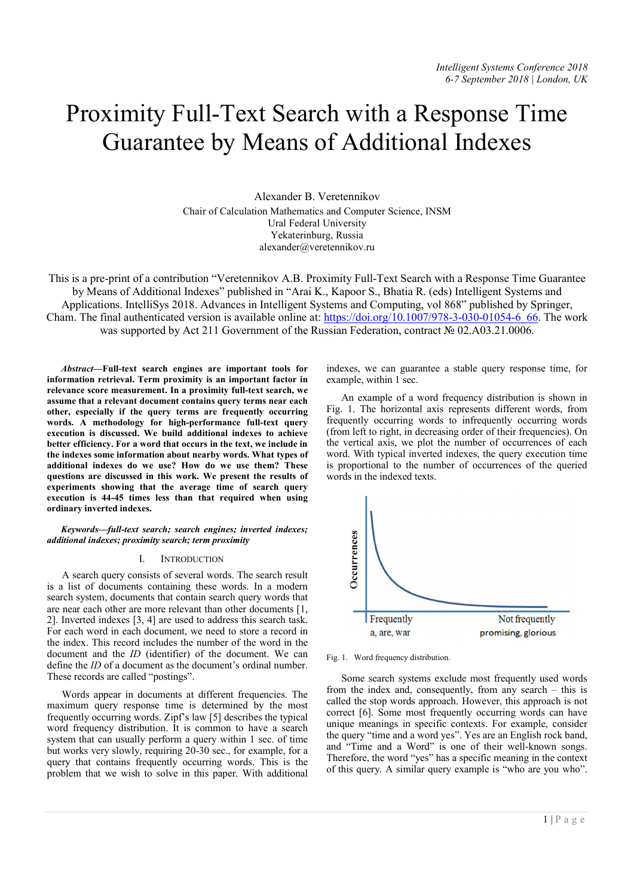# Proximity Full-Text Search with a Response Time Guarantee by Means of Additional Indexes

Alexander B. Veretennikov Chair of Calculation Mathematics and Computer Science, INSM Ural Federal University Yekaterinburg, Russia alexander@veretennikov.ru

This is a pre-print of a contribution "Veretennikov A.B. Proximity Full-Text Search with a Response Time Guarantee by Means of Additional Indexes" published in "Arai K., Kapoor S., Bhatia R. (eds) Intelligent Systems and Applications. IntelliSys 2018. Advances in Intelligent Systems and Computing, vol 868" published by Springer, Cham. The final authenticated version is available online at: https://doi.org/10.1007/978-3-030-01054-6\_66. The work was supported by Act 211 Government of the Russian Federation, contract № 02.A03.21.0006.

*Abstract*—Full-text search engines are important tools for information retrieval. Term proximity is an important factor in relevance score measurement. In a proximity full-text search, we assume that a relevant document contains query terms near each other, especially if the query terms are frequently occurring words. A methodology for high-performance full-text query execution is discussed. We build additional indexes to achieve better efficiency. For a word that occurs in the text, we include in the indexes some information about nearby words. What types of additional indexes do we use? How do we use them? These questions are discussed in this work. We present the results of experiments showing that the average time of search query execution is 44-45 times less than that required when using ordinary inverted indexes.

*Keywords—full-text search; search engines; inverted indexes; additional indexes; proximity search; term proximity*

### I. INTRODUCTION

A search query consists of several words. The search result is a list of documents containing these words. In a modern search system, documents that contain search query words that are near each other are more relevant than other documents [1, 2]. Inverted indexes [3, 4] are used to address this search task. For each word in each document, we need to store a record in the index. This record includes the number of the word in the document and the *ID* (identifier) of the document. We can define the *ID* of a document as the document's ordinal number. These records are called "postings".

Words appear in documents at different frequencies. The maximum query response time is determined by the most frequently occurring words. Zipf's law [5] describes the typical word frequency distribution. It is common to have a search system that can usually perform a query within 1 sec. of time but works very slowly, requiring 20-30 sec., for example, for a query that contains frequently occurring words. This is the problem that we wish to solve in this paper. With additional

indexes, we can guarantee a stable query response time, for example, within 1 sec.

An example of a word frequency distribution is shown in Fig. 1. The horizontal axis represents different words, from frequently occurring words to infrequently occurring words (from left to right, in decreasing order of their frequencies). On the vertical axis, we plot the number of occurrences of each word. With typical inverted indexes, the query execution time is proportional to the number of occurrences of the queried words in the indexed texts.



Fig. 1. Word frequency distribution.

Some search systems exclude most frequently used words from the index and, consequently, from any search – this is called the stop words approach. However, this approach is not correct [6]. Some most frequently occurring words can have unique meanings in specific contexts. For example, consider the query "time and a word yes". Yes are an English rock band, and "Time and a Word" is one of their well-known songs. Therefore, the word "yes" has a specific meaning in the context of this query. A similar query example is "who are you who".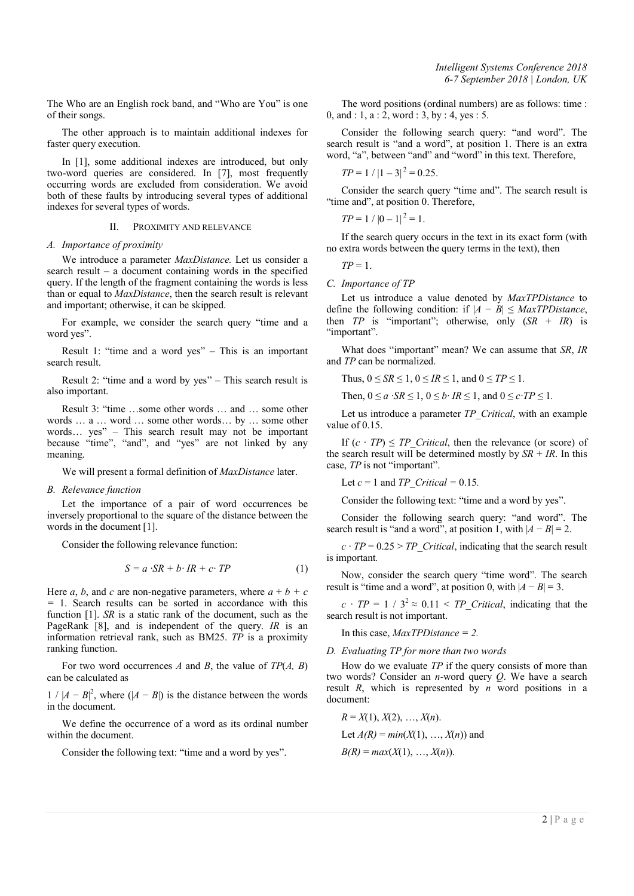The Who are an English rock band, and "Who are You" is one of their songs.

The other approach is to maintain additional indexes for faster query execution.

In [1], some additional indexes are introduced, but only two-word queries are considered. In [7], most frequently occurring words are excluded from consideration. We avoid both of these faults by introducing several types of additional indexes for several types of words.

## II. PROXIMITY AND RELEVANCE

## *A. Importance of proximity*

We introduce a parameter *MaxDistance.* Let us consider a search result – a document containing words in the specified query. If the length of the fragment containing the words is less than or equal to *MaxDistance*, then the search result is relevant and important; otherwise, it can be skipped.

For example, we consider the search query "time and a word yes".

Result 1: "time and a word yes" – This is an important search result.

Result 2: "time and a word by yes" – This search result is also important.

Result 3: "time …some other words … and … some other words … a … word … some other words… by … some other words… yes" – This search result may not be important because "time", "and", and "yes" are not linked by any meaning.

We will present a formal definition of *MaxDistance* later.

## *B. Relevance function*

Let the importance of a pair of word occurrences be inversely proportional to the square of the distance between the words in the document [1].

Consider the following relevance function:

$$
S = a \cdot SR + b \cdot IR + c \cdot TP \tag{1}
$$

Here *a*, *b*, and *c* are non-negative parameters, where  $a + b + c$ *=* 1. Search results can be sorted in accordance with this function [1]. *SR* is a static rank of the document, such as the PageRank [8], and is independent of the query. *IR* is an information retrieval rank, such as BM25. *TP* is a proximity ranking function.

For two word occurrences *A* and *B*, the value of *TP*(*A, B*) can be calculated as

 $1 / |A - B|^2$ , where  $(|A - B|)$  is the distance between the words in the document.

We define the occurrence of a word as its ordinal number within the document.

Consider the following text: "time and a word by yes".

The word positions (ordinal numbers) are as follows: time : 0, and : 1, a : 2, word : 3, by : 4, yes : 5.

Consider the following search query: "and word". The search result is "and a word", at position 1. There is an extra word, "a", between "and" and "word" in this text. Therefore,

$$
TP = 1 / |1 - 3|^2 = 0.25.
$$

Consider the search query "time and". The search result is "time and", at position 0. Therefore,

 $TP = 1 / |0 - 1|^2 = 1$ .

If the search query occurs in the text in its exact form (with no extra words between the query terms in the text), then

*TP* = 1.

## *C. Importance of TP*

Let us introduce a value denoted by *MaxTPDistance* to define the following condition: if  $|A - B| \leq \text{MaxTPDistance}$ , then *TP* is "important"; otherwise, only (*SR* + *IR*) is "important".

What does "important" mean? We can assume that *SR*, *IR* and *TP* can be normalized.

Thus,  $0 \leq SR \leq 1$ ,  $0 \leq IR \leq 1$ , and  $0 \leq TP \leq 1$ .

Then,  $0 \le a \cdot SR \le 1$ ,  $0 \le b \cdot IR \le 1$ , and  $0 \le c \cdot TP \le 1$ .

Let us introduce a parameter *TP\_Critical*, with an example value of 0.15.

If  $(c \cdot TP) \le TP$  *Critical*, then the relevance (or score) of the search result will be determined mostly by  $SR + IR$ . In this case, *TP* is not "important".

Let *c* = 1 and *TP\_Critical =* 0.15*.*

Consider the following text: "time and a word by yes".

Consider the following search query: "and word". The search result is "and a word", at position 1, with  $|A - B| = 2$ .

 $c \cdot TP = 0.25 > TP$  *Critical*, indicating that the search result is important*.*

Now, consider the search query "time word". The search result is "time and a word", at position 0, with  $|A - B| = 3$ .

 $c \cdot TP = 1 / 3^2 \approx 0.11 \le TP \text{ Critical},$  indicating that the search result is not important.

In this case, *MaxTPDistance = 2.*

*D. Evaluating TP for more than two words*

How do we evaluate *TP* if the query consists of more than two words? Consider an *n*-word query *Q*. We have a search result *R*, which is represented by *n* word positions in a document:

$$
R = X(1), X(2), ..., X(n).
$$
  
Let  $A(R) = min(X(1), ..., X(n))$  and  
 $B(R) = max(X(1), ..., X(n)).$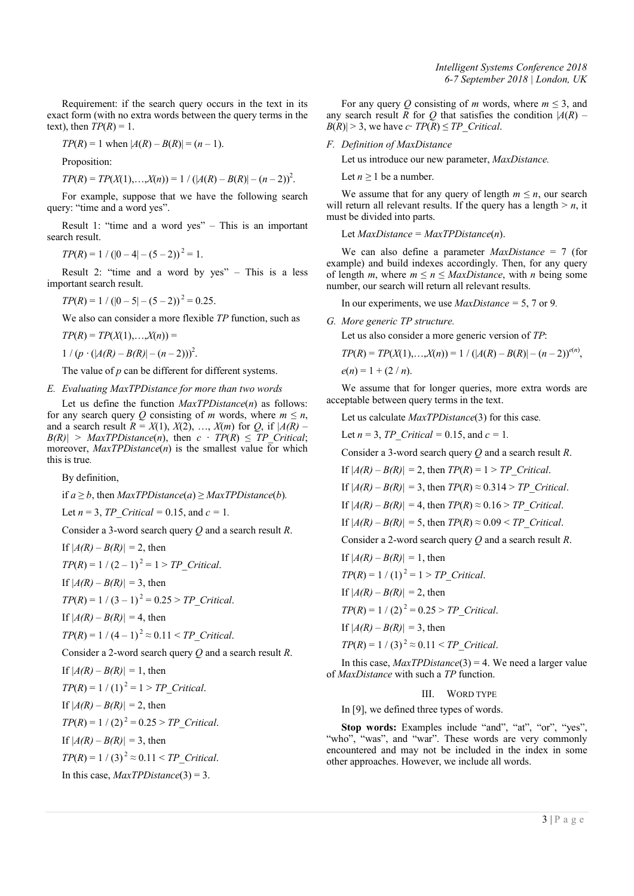*Intelligent Systems Conference 2018 6-7 September 2018 | London, UK*

Requirement: if the search query occurs in the text in its exact form (with no extra words between the query terms in the text), then  $TP(R) = 1$ .

$$
TP(R) = 1
$$
 when  $|A(R) - B(R)| = (n - 1)$ .

Proposition:

$$
TP(R) = TP(X(1),...,X(n)) = 1 / (|A(R) - B(R)| - (n-2))^2.
$$

For example, suppose that we have the following search query: "time and a word yes".

Result 1: "time and a word yes" – This is an important search result.

 $TP(R) = 1 / (|0 - 4| - (5 - 2))^2 = 1.$ 

Result 2: "time and a word by yes" – This is a less important search result.

$$
TP(R) = 1 / (|0 - 5| - (5 - 2))^2 = 0.25.
$$

We also can consider a more flexible *TP* function, such as

$$
TP(R) = TP(X(1),...,X(n)) =
$$

 $1 / (p \cdot (|A(R) - B(R)| - (n-2)))^2$ .

The value of *p* can be different for different systems.

## *E. Evaluating MaxTPDistance for more than two words*

Let us define the function *MaxTPDistance*(*n*) as follows: for any search query *Q* consisting of *m* words, where  $m \le n$ , and a search result  $R = X(1), X(2), \ldots, X(m)$  for  $Q$ , if  $|A(R) B(R)$  > *MaxTPDistance*(*n*), then  $c \cdot TP(R) \le TP$  *Critical*; moreover, *MaxTPDistance*(*n*) is the smallest value for which this is true*.*

By definition,

if  $a \geq b$ , then *MaxTPDistance*(*a*)  $\geq$  *MaxTPDistance*(*b*).

Let  $n = 3$ ,  $TP\_Critical = 0.15$ , and  $c = 1$ .

Consider a 3-word search query *Q* and a search result *R*.

If  $|A(R) - B(R)| = 2$ , then

$$
TP(R) = 1 / (2 - 1)^2 = 1 > TP\_Critical.
$$

If  $|A(R) - B(R)| = 3$ , then

 $TP(R) = 1 / (3 - 1)^2 = 0.25 > TP$  Critical.

If 
$$
|A(R) - B(R)| = 4
$$
, then

$$
TP(R) = 1 / (4 - 1)^2 \approx 0.11 < TP\_Critical.
$$

Consider a 2-word search query *Q* and a search result *R*.

If  $|A(R) - B(R)| = 1$ , then  $TP(R) = 1 / (1)^2 = 1 > TP$  *Critical.* If  $|A(R) - B(R)| = 2$ , then  $TP(R) = 1 / (2)^2 = 0.25 > TP$  Critical. If  $|A(R) - B(R)| = 3$ , then  $TP(R) = 1 / (3)^2 \approx 0.11 \le TP$  Critical. In this case, *MaxTPDistance*(3) = 3.

For any query *Q* consisting of *m* words, where  $m \leq 3$ , and any search result *R* for *Q* that satisfies the condition  $|A(R) - A(R)|$  $B(R) \geq 3$ , we have *c*⋅ *TP*(*R*)  $\leq$  *TP Critical*.

*F. Definition of MaxDistance*

Let us introduce our new parameter, *MaxDistance.* 

Let  $n \geq 1$  be a number.

We assume that for any query of length  $m \leq n$ , our search will return all relevant results. If the query has a length  $> n$ , it must be divided into parts.

Let *MaxDistance = MaxTPDistance*(*n*).

We can also define a parameter *MaxDistance* = 7 (for example) and build indexes accordingly. Then, for any query of length *m*, where  $m \le n \le MaxDistance$ , with *n* being some number, our search will return all relevant results.

In our experiments, we use *MaxDistance =* 5, 7 or 9*.*

*G. More generic TP structure.*

Let us also consider a more generic version of *TP*:

$$
TP(R) = TP(X(1),...,X(n)) = 1 / (|A(R) - B(R)| - (n-2))^{e(n)},
$$

 $e(n) = 1 + (2/n)$ .

We assume that for longer queries, more extra words are acceptable between query terms in the text.

Let us calculate *MaxTPDistance*(3) for this case*.*

Let  $n = 3$ , *TP* Critical = 0.15, and  $c = 1$ .

Consider a 3-word search query *Q* and a search result *R*.

If  $|A(R) - B(R)| = 2$ , then  $TP(R) = 1 > TP$  Critical.

If  $|A(R) - B(R)| = 3$ , then  $TP(R) \approx 0.314 > TP$  Critical.

If  $|A(R) - B(R)| = 4$ , then  $TP(R) \approx 0.16 > TP$  Critical.

If  $|A(R) - B(R)| = 5$ , then  $TP(R) \approx 0.09 < TP$  Critical.

Consider a 2-word search query *Q* and a search result *R*.

If  $|A(R) - B(R)| = 1$ , then  $TP(R) = 1 / (1)^2 = 1 > TP$  *Critical.* 

If  $|A(R) - B(R)| = 2$ , then

 $TP(R) = 1 / (2)^2 = 0.25 > TP$  Critical.

If  $|A(R) - B(R)| = 3$ , then

 $TP(R) = 1 / (3)^2 \approx 0.11 < TP$  *Critical.* 

In this case, *MaxTPDistance*(3) = 4. We need a larger value of *MaxDistance* with such a *TP* function.

## III. WORD TYPE

In [9], we defined three types of words.

Stop words: Examples include "and", "at", "or", "yes", "who", "was", and "war". These words are very commonly encountered and may not be included in the index in some other approaches. However, we include all words.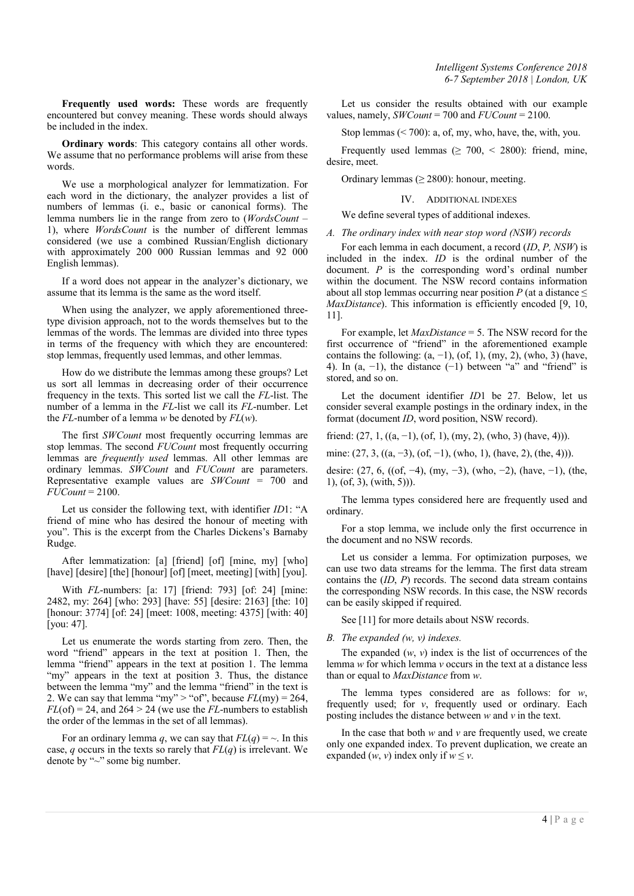Frequently used words: These words are frequently encountered but convey meaning. These words should always be included in the index.

Ordinary words: This category contains all other words. We assume that no performance problems will arise from these words.

We use a morphological analyzer for lemmatization. For each word in the dictionary, the analyzer provides a list of numbers of lemmas (i. e., basic or canonical forms). The lemma numbers lie in the range from zero to (*WordsCount* – 1), where *WordsCount* is the number of different lemmas considered (we use a combined Russian/English dictionary with approximately 200 000 Russian lemmas and 92 000 English lemmas).

If a word does not appear in the analyzer's dictionary, we assume that its lemma is the same as the word itself.

When using the analyzer, we apply aforementioned threetype division approach, not to the words themselves but to the lemmas of the words. The lemmas are divided into three types in terms of the frequency with which they are encountered: stop lemmas, frequently used lemmas, and other lemmas.

How do we distribute the lemmas among these groups? Let us sort all lemmas in decreasing order of their occurrence frequency in the texts. This sorted list we call the *FL*-list. The number of a lemma in the *FL*-list we call its *FL*-number. Let the *FL*-number of a lemma *w* be denoted by *FL*(*w*).

The first *SWCount* most frequently occurring lemmas are stop lemmas. The second *FUCount* most frequently occurring lemmas are *frequently used* lemmas. All other lemmas are ordinary lemmas. *SWCount* and *FUCount* are parameters. Representative example values are *SWCount* = 700 and *FUCount* = 2100.

Let us consider the following text, with identifier *ID*1: "A friend of mine who has desired the honour of meeting with you". This is the excerpt from the Charles Dickens's Barnaby Rudge.

After lemmatization: [a] [friend] [of] [mine, my] [who] [have] [desire] [the] [honour] [of] [meet, meeting] [with] [you].

With *FL*-numbers: [a: 17] [friend: 793] [of: 24] [mine: 2482, my: 264] [who: 293] [have: 55] [desire: 2163] [the: 10] [honour: 3774] [of: 24] [meet: 1008, meeting: 4375] [with: 40] [you: 47].

Let us enumerate the words starting from zero. Then, the word "friend" appears in the text at position 1. Then, the lemma "friend" appears in the text at position 1. The lemma "my" appears in the text at position 3. Thus, the distance between the lemma "my" and the lemma "friend" in the text is 2. We can say that lemma "my" > "of", because  $FL(my) = 264$ ,  $FL(of) = 24$ , and  $264 > 24$  (we use the *FL*-numbers to establish the order of the lemmas in the set of all lemmas).

For an ordinary lemma *q*, we can say that  $FL(q) = \sim$ . In this case, *q* occurs in the texts so rarely that *FL*(*q*) is irrelevant. We denote by "~" some big number.

*Intelligent Systems Conference 2018 6-7 September 2018 | London, UK*

Let us consider the results obtained with our example values, namely, *SWCount* = 700 and *FUCount* = 2100.

Stop lemmas (< 700): a, of, my, who, have, the, with, you.

Frequently used lemmas ( $\geq 700$ , < 2800): friend, mine, desire, meet.

Ordinary lemmas ( $\geq$  2800): honour, meeting.

IV. ADDITIONAL INDEXES

We define several types of additional indexes.

*A. The ordinary index with near stop word (NSW) records*

For each lemma in each document, a record (*ID*, *P, NSW*) is included in the index. *ID* is the ordinal number of the document. *P* is the corresponding word's ordinal number within the document. The NSW record contains information about all stop lemmas occurring near position  $P$  (at a distance  $\leq$ *MaxDistance*). This information is efficiently encoded [9, 10, 11].

For example, let *MaxDistance* = 5. The NSW record for the first occurrence of "friend" in the aforementioned example contains the following:  $(a, -1)$ ,  $(of, 1)$ ,  $(my, 2)$ ,  $(who, 3)$  (have, 4). In  $(a, -1)$ , the distance  $(-1)$  between "a" and "friend" is stored, and so on.

Let the document identifier *ID*1 be 27. Below, let us consider several example postings in the ordinary index, in the format (document *ID*, word position, NSW record).

friend:  $(27, 1, ((a, -1), (of, 1), (my, 2), (who, 3) (have, 4))).$ 

mine:  $(27, 3, ((a, -3), (of, -1), (who, 1), (have, 2), (the, 4))).$ 

desire: (27, 6, ((of, −4), (my, −3), (who, −2), (have, −1), (the, 1), (of, 3), (with, 5))).

The lemma types considered here are frequently used and ordinary.

For a stop lemma, we include only the first occurrence in the document and no NSW records.

Let us consider a lemma. For optimization purposes, we can use two data streams for the lemma. The first data stream contains the (*ID*, *P*) records. The second data stream contains the corresponding NSW records. In this case, the NSW records can be easily skipped if required.

See [11] for more details about NSW records.

#### *B. The expanded (w, v) indexes.*

The expanded (*w*, *v*) index is the list of occurrences of the lemma *w* for which lemma *v* occurs in the text at a distance less than or equal to *MaxDistance* from *w*.

The lemma types considered are as follows: for *w*, frequently used; for *v*, frequently used or ordinary. Each posting includes the distance between *w* and *v* in the text.

In the case that both *w* and *v* are frequently used, we create only one expanded index. To prevent duplication, we create an expanded  $(w, v)$  index only if  $w \leq v$ .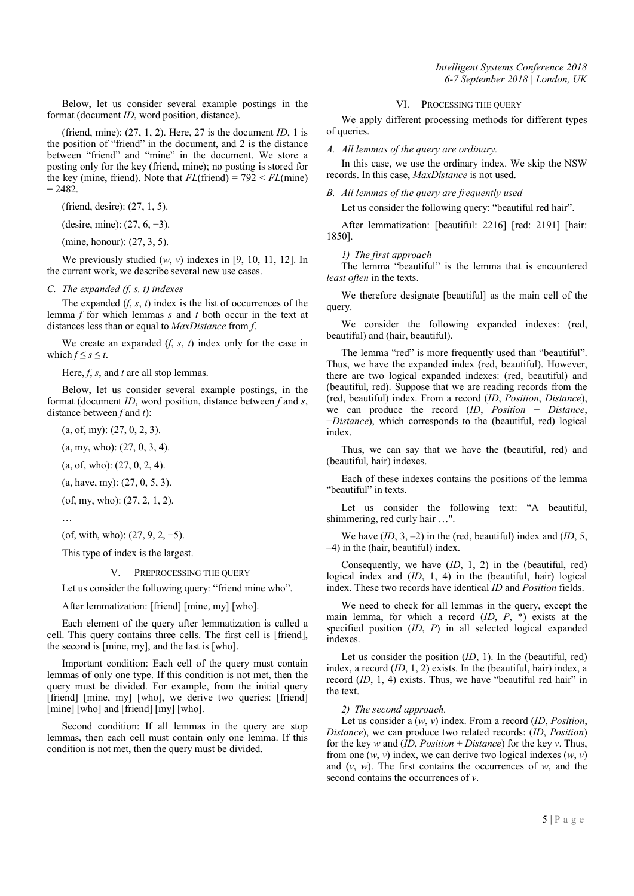Below, let us consider several example postings in the format (document *ID*, word position, distance).

(friend, mine): (27, 1, 2). Here, 27 is the document *ID*, 1 is the position of "friend" in the document, and 2 is the distance between "friend" and "mine" in the document. We store a posting only for the key (friend, mine); no posting is stored for the key (mine, friend). Note that  $FL$ (friend) =  $792 \leq FL$ (mine)  $= 2482.$ 

(friend, desire): (27, 1, 5).

(desire, mine): (27, 6, −3).

(mine, honour): (27, 3, 5).

We previously studied (*w*, *v*) indexes in [9, 10, 11, 12]. In the current work, we describe several new use cases.

#### *C. The expanded (f, s, t) indexes*

The expanded  $(f, s, t)$  index is the list of occurrences of the lemma *f* for which lemmas *s* and *t* both occur in the text at distances less than or equal to *MaxDistance* from *f*.

We create an expanded  $(f, s, t)$  index only for the case in which  $f \leq s \leq t$ .

Here, *f*, *s*, and *t* are all stop lemmas.

Below, let us consider several example postings, in the format (document *ID*, word position, distance between *f* and *s*, distance between *f* and *t*):

 $(a, of, mv)$ :  $(27, 0, 2, 3)$ .

(a, my, who): (27, 0, 3, 4).

(a, of, who): (27, 0, 2, 4).

(a, have, my): (27, 0, 5, 3).

(of, my, who): (27, 2, 1, 2).

…

(of, with, who): (27, 9, 2, −5).

This type of index is the largest.

#### V. PREPROCESSING THE QUERY

Let us consider the following query: "friend mine who".

After lemmatization: [friend] [mine, my] [who].

Each element of the query after lemmatization is called a cell. This query contains three cells. The first cell is [friend], the second is [mine, my], and the last is [who].

Important condition: Each cell of the query must contain lemmas of only one type. If this condition is not met, then the query must be divided. For example, from the initial query [friend] [mine, my] [who], we derive two queries: [friend] [mine] [who] and [friend] [my] [who].

Second condition: If all lemmas in the query are stop lemmas, then each cell must contain only one lemma. If this condition is not met, then the query must be divided.

#### VI. PROCESSING THE QUERY

We apply different processing methods for different types of queries.

*A. All lemmas of the query are ordinary.*

In this case, we use the ordinary index. We skip the NSW records. In this case, *MaxDistance* is not used.

*B. All lemmas of the query are frequently used*

Let us consider the following query: "beautiful red hair".

After lemmatization: [beautiful: 2216] [red: 2191] [hair: 1850].

*1) The first approach*

The lemma "beautiful" is the lemma that is encountered *least often* in the texts.

We therefore designate [beautiful] as the main cell of the query.

We consider the following expanded indexes: (red, beautiful) and (hair, beautiful).

The lemma "red" is more frequently used than "beautiful". Thus, we have the expanded index (red, beautiful). However, there are two logical expanded indexes: (red, beautiful) and (beautiful, red). Suppose that we are reading records from the (red, beautiful) index. From a record (*ID*, *Position*, *Distance*), we can produce the record (*ID*, *Position* + *Distance*, −*Distance*), which corresponds to the (beautiful, red) logical index.

Thus, we can say that we have the (beautiful, red) and (beautiful, hair) indexes.

Each of these indexes contains the positions of the lemma "beautiful" in texts.

Let us consider the following text: "A beautiful, shimmering, red curly hair …".

We have (*ID*, 3, –2) in the (red, beautiful) index and (*ID*, 5, –4) in the (hair, beautiful) index.

Consequently, we have (*ID*, 1, 2) in the (beautiful, red) logical index and (*ID*, 1, 4) in the (beautiful, hair) logical index. These two records have identical *ID* and *Position* fields.

We need to check for all lemmas in the query, except the main lemma, for which a record (*ID*, *P*, \*) exists at the specified position (*ID*, *P*) in all selected logical expanded indexes.

Let us consider the position (*ID*, 1). In the (beautiful, red) index, a record (*ID*, 1, 2) exists. In the (beautiful, hair) index, a record (*ID*, 1, 4) exists. Thus, we have "beautiful red hair" in the text.

*2) The second approach.*

Let us consider a (*w*, *v*) index. From a record (*ID*, *Position*, *Distance*), we can produce two related records: (*ID*, *Position*) for the key *w* and (*ID*, *Position* + *Distance*) for the key *v*. Thus, from one  $(w, v)$  index, we can derive two logical indexes  $(w, v)$ and (*v*, *w*). The first contains the occurrences of *w*, and the second contains the occurrences of *v*.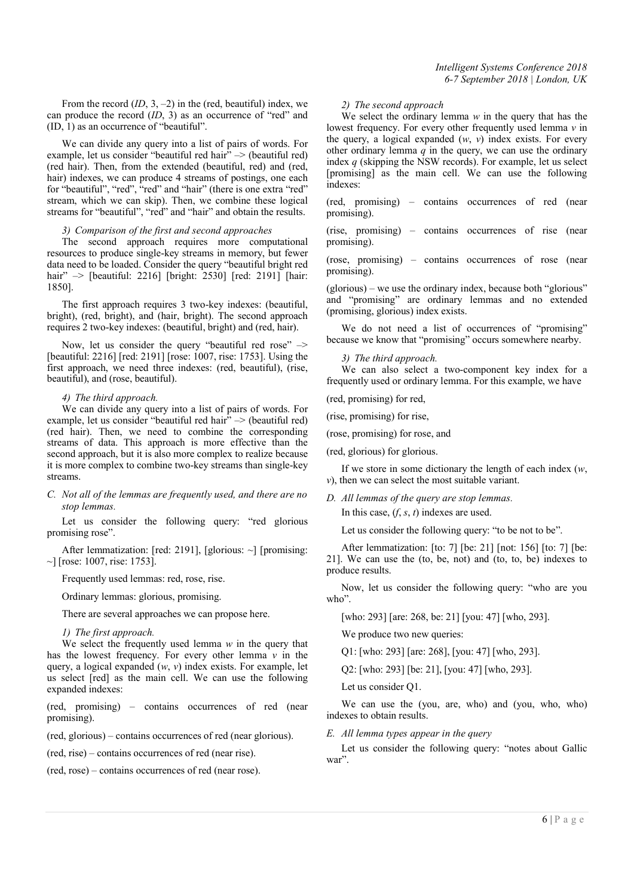From the record (*ID*, 3, –2) in the (red, beautiful) index, we can produce the record (*ID*, 3) as an occurrence of "red" and (ID, 1) as an occurrence of "beautiful".

We can divide any query into a list of pairs of words. For example, let us consider "beautiful red hair" -> (beautiful red) (red hair). Then, from the extended (beautiful, red) and (red, hair) indexes, we can produce 4 streams of postings, one each for "beautiful", "red", "red" and "hair" (there is one extra "red" stream, which we can skip). Then, we combine these logical streams for "beautiful", "red" and "hair" and obtain the results.

## *3) Comparison of the first and second approaches*

The second approach requires more computational resources to produce single-key streams in memory, but fewer data need to be loaded. Consider the query "beautiful bright red hair"  $\rightarrow$  [beautiful: 2216] [bright: 2530] [red: 2191] [hair: 1850].

The first approach requires 3 two-key indexes: (beautiful, bright), (red, bright), and (hair, bright). The second approach requires 2 two-key indexes: (beautiful, bright) and (red, hair).

Now, let us consider the query "beautiful red rose" –> [beautiful: 2216] [red: 2191] [rose: 1007, rise: 1753]. Using the first approach, we need three indexes: (red, beautiful), (rise, beautiful), and (rose, beautiful).

#### *4) The third approach.*

We can divide any query into a list of pairs of words. For example, let us consider "beautiful red hair" –> (beautiful red) (red hair). Then, we need to combine the corresponding streams of data. This approach is more effective than the second approach, but it is also more complex to realize because it is more complex to combine two-key streams than single-key streams.

*C. Not all of the lemmas are frequently used, and there are no stop lemmas.*

Let us consider the following query: "red glorious promising rose".

After lemmatization: [red: 2191], [glorious: ~] [promising:  $\sim$ ] [rose: 1007, rise: 1753].

Frequently used lemmas: red, rose, rise.

Ordinary lemmas: glorious, promising.

There are several approaches we can propose here.

*1) The first approach.* 

We select the frequently used lemma *w* in the query that has the lowest frequency. For every other lemma  $\nu$  in the query, a logical expanded (*w*, *v*) index exists. For example, let us select [red] as the main cell. We can use the following expanded indexes:

(red, promising) – contains occurrences of red (near promising).

(red, glorious) – contains occurrences of red (near glorious).

(red, rise) – contains occurrences of red (near rise).

(red, rose) – contains occurrences of red (near rose).

## *2) The second approach*

We select the ordinary lemma *w* in the query that has the lowest frequency. For every other frequently used lemma *v* in the query, a logical expanded (*w*, *v*) index exists. For every other ordinary lemma  $q$  in the query, we can use the ordinary index *q* (skipping the NSW records). For example, let us select [promising] as the main cell. We can use the following indexes:

(red, promising) – contains occurrences of red (near promising).

(rise, promising) – contains occurrences of rise (near promising).

(rose, promising) – contains occurrences of rose (near promising).

(glorious) – we use the ordinary index, because both "glorious" and "promising" are ordinary lemmas and no extended (promising, glorious) index exists.

We do not need a list of occurrences of "promising" because we know that "promising" occurs somewhere nearby.

#### *3) The third approach.*

We can also select a two-component key index for a frequently used or ordinary lemma. For this example, we have

(red, promising) for red,

(rise, promising) for rise,

(rose, promising) for rose, and

(red, glorious) for glorious.

If we store in some dictionary the length of each index (*w*, *v*), then we can select the most suitable variant.

*D. All lemmas of the query are stop lemmas.*

In this case, (*f*, *s*, *t*) indexes are used.

Let us consider the following query: "to be not to be".

After lemmatization: [to: 7] [be: 21] [not: 156] [to: 7] [be: 21]. We can use the (to, be, not) and (to, to, be) indexes to produce results.

Now, let us consider the following query: "who are you who".

[who: 293] [are: 268, be: 21] [you: 47] [who, 293].

We produce two new queries:

Q1: [who: 293] [are: 268], [you: 47] [who, 293].

Q2: [who: 293] [be: 21], [you: 47] [who, 293].

Let us consider Q1.

We can use the (you, are, who) and (you, who, who) indexes to obtain results.

*E. All lemma types appear in the query*

Let us consider the following query: "notes about Gallic war".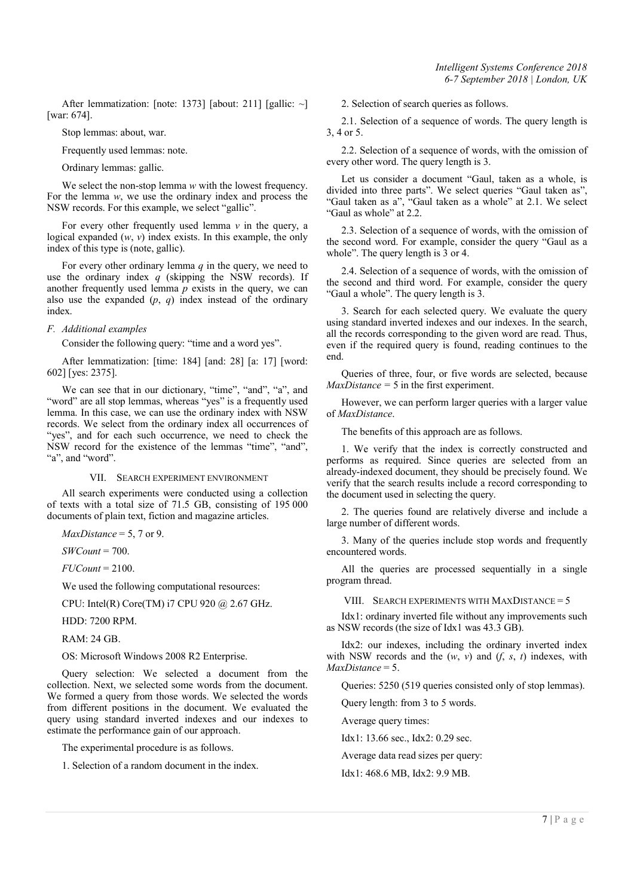After lemmatization: [note: 1373] [about: 211] [gallic: ~] [war: 674].

Stop lemmas: about, war.

Frequently used lemmas: note.

Ordinary lemmas: gallic.

We select the non-stop lemma *w* with the lowest frequency. For the lemma *w*, we use the ordinary index and process the NSW records. For this example, we select "gallic".

For every other frequently used lemma *v* in the query, a logical expanded (*w*, *v*) index exists. In this example, the only index of this type is (note, gallic).

For every other ordinary lemma *q* in the query, we need to use the ordinary index *q* (skipping the NSW records). If another frequently used lemma *p* exists in the query, we can also use the expanded (*p*, *q*) index instead of the ordinary index.

## *F. Additional examples*

Consider the following query: "time and a word yes".

After lemmatization: [time: 184] [and: 28] [a: 17] [word: 602] [yes: 2375].

We can see that in our dictionary, "time", "and", "a", and "word" are all stop lemmas, whereas "yes" is a frequently used lemma. In this case, we can use the ordinary index with NSW records. We select from the ordinary index all occurrences of "yes", and for each such occurrence, we need to check the NSW record for the existence of the lemmas "time", "and", "a", and "word".

#### VII. SEARCH EXPERIMENT ENVIRONMENT

All search experiments were conducted using a collection of texts with a total size of 71.5 GB, consisting of 195 000 documents of plain text, fiction and magazine articles.

*MaxDistance* = 5, 7 or 9.

*SWCount* = 700.

*FUCount* = 2100.

We used the following computational resources:

CPU: Intel(R) Core(TM) i7 CPU 920 @ 2.67 GHz.

HDD: 7200 RPM.

RAM: 24 GB.

OS: Microsoft Windows 2008 R2 Enterprise.

Query selection: We selected a document from the collection. Next, we selected some words from the document. We formed a query from those words. We selected the words from different positions in the document. We evaluated the query using standard inverted indexes and our indexes to estimate the performance gain of our approach.

The experimental procedure is as follows.

1. Selection of a random document in the index.

2. Selection of search queries as follows.

2.1. Selection of a sequence of words. The query length is 3, 4 or 5.

2.2. Selection of a sequence of words, with the omission of every other word. The query length is 3.

Let us consider a document "Gaul, taken as a whole, is divided into three parts". We select queries "Gaul taken as", "Gaul taken as a", "Gaul taken as a whole" at 2.1. We select "Gaul as whole" at 2.2.

2.3. Selection of a sequence of words, with the omission of the second word. For example, consider the query "Gaul as a whole". The query length is 3 or 4.

2.4. Selection of a sequence of words, with the omission of the second and third word. For example, consider the query "Gaul a whole". The query length is 3.

3. Search for each selected query. We evaluate the query using standard inverted indexes and our indexes. In the search, all the records corresponding to the given word are read. Thus, even if the required query is found, reading continues to the end.

Queries of three, four, or five words are selected, because  $MaxDistance = 5$  in the first experiment.

However, we can perform larger queries with a larger value of *MaxDistance*.

The benefits of this approach are as follows.

1. We verify that the index is correctly constructed and performs as required. Since queries are selected from an already-indexed document, they should be precisely found. We verify that the search results include a record corresponding to the document used in selecting the query.

2. The queries found are relatively diverse and include a large number of different words.

3. Many of the queries include stop words and frequently encountered words.

All the queries are processed sequentially in a single program thread.

VIII. SEARCH EXPERIMENTS WITH MAXDISTANCE = 5

Idx1: ordinary inverted file without any improvements such as NSW records (the size of Idx1 was 43.3 GB).

Idx2: our indexes, including the ordinary inverted index with NSW records and the  $(w, v)$  and  $(f, s, t)$  indexes, with *MaxDistance* = 5.

Queries: 5250 (519 queries consisted only of stop lemmas).

Query length: from 3 to 5 words.

Average query times:

Idx1: 13.66 sec., Idx2: 0.29 sec.

Average data read sizes per query:

Idx1: 468.6 MB, Idx2: 9.9 MB.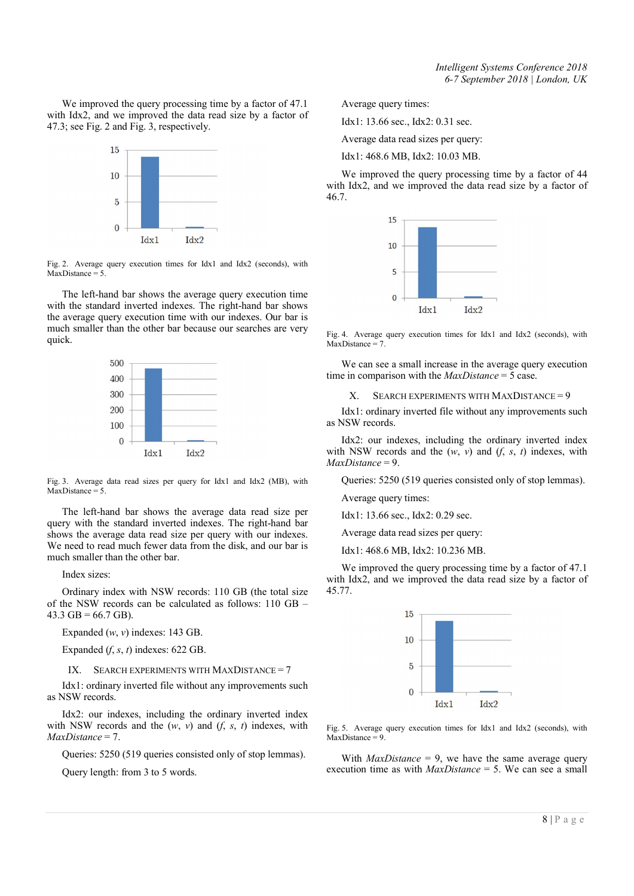We improved the query processing time by a factor of 47.1 with Idx2, and we improved the data read size by a factor of 47.3; see Fig. 2 and Fig. 3, respectively.



Fig. 2. Average query execution times for Idx1 and Idx2 (seconds), with  $MaxDistance = 5$ 

The left-hand bar shows the average query execution time with the standard inverted indexes. The right-hand bar shows the average query execution time with our indexes. Our bar is much smaller than the other bar because our searches are very quick.



Fig. 3. Average data read sizes per query for Idx1 and Idx2 (MB), with  $MaxDistance = 5$ .

The left-hand bar shows the average data read size per query with the standard inverted indexes. The right-hand bar shows the average data read size per query with our indexes. We need to read much fewer data from the disk, and our bar is much smaller than the other bar.

Index sizes:

Ordinary index with NSW records: 110 GB (the total size of the NSW records can be calculated as follows: 110 GB –  $43.3$  GB = 66.7 GB).

Expanded (*w*, *v*) indexes: 143 GB.

Expanded  $(f, s, t)$  indexes: 622 GB.

IX. SEARCH EXPERIMENTS WITH MAXDISTANCE =  $7$ 

Idx1: ordinary inverted file without any improvements such as NSW records.

Idx2: our indexes, including the ordinary inverted index with NSW records and the  $(w, v)$  and  $(f, s, t)$  indexes, with *MaxDistance* = 7.

Queries: 5250 (519 queries consisted only of stop lemmas).

Query length: from 3 to 5 words.

Average query times:

Idx1: 13.66 sec., Idx2: 0.31 sec.

Average data read sizes per query:

Idx1: 468.6 MB, Idx2: 10.03 MB.

We improved the query processing time by a factor of 44 with Idx2, and we improved the data read size by a factor of 46.7.



Fig. 4. Average query execution times for Idx1 and Idx2 (seconds), with  $MaxDistance = 7$ .

We can see a small increase in the average query execution time in comparison with the *MaxDistance* = 5 case.

X. SEARCH EXPERIMENTS WITH MAXDISTANCE = 9

Idx1: ordinary inverted file without any improvements such as NSW records.

Idx2: our indexes, including the ordinary inverted index with NSW records and the  $(w, v)$  and  $(f, s, t)$  indexes, with *MaxDistance* = 9.

Queries: 5250 (519 queries consisted only of stop lemmas).

Average query times:

Idx1: 13.66 sec., Idx2: 0.29 sec.

Average data read sizes per query:

Idx1: 468.6 MB, Idx2: 10.236 MB.

We improved the query processing time by a factor of 47.1 with Idx2, and we improved the data read size by a factor of 45.77.



Fig. 5. Average query execution times for Idx1 and Idx2 (seconds), with  $MaxDistance = 9$ .

With *MaxDistance* = 9, we have the same average query execution time as with *MaxDistance* = 5. We can see a small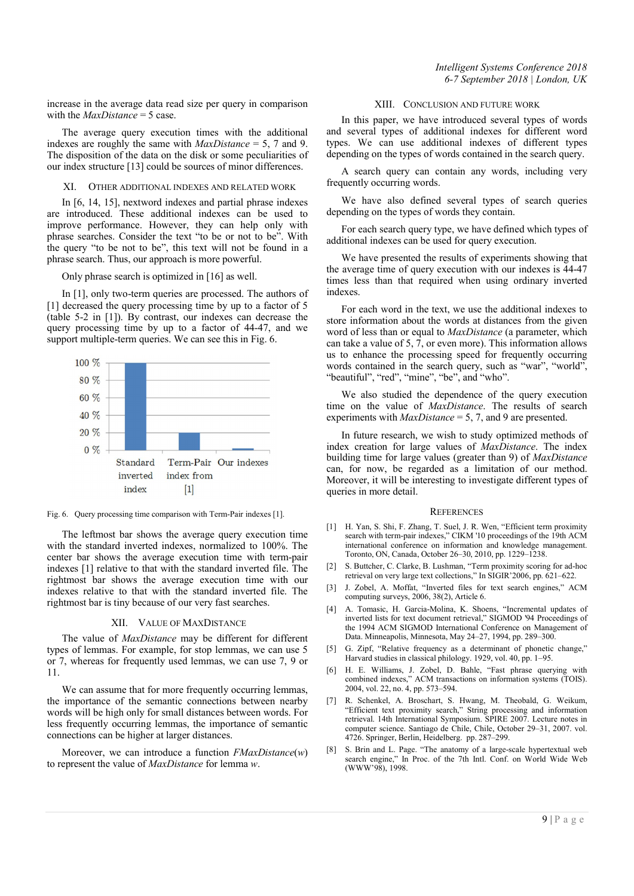*Intelligent Systems Conference 2018 6-7 September 2018 | London, UK*

increase in the average data read size per query in comparison with the *MaxDistance* = 5 case.

The average query execution times with the additional indexes are roughly the same with *MaxDistance* = 5, 7 and 9. The disposition of the data on the disk or some peculiarities of our index structure [13] could be sources of minor differences.

XI. OTHER ADDITIONAL INDEXES AND RELATED WORK

In [6, 14, 15], nextword indexes and partial phrase indexes are introduced. These additional indexes can be used to improve performance. However, they can help only with phrase searches. Consider the text "to be or not to be". With the query "to be not to be", this text will not be found in a phrase search. Thus, our approach is more powerful.

Only phrase search is optimized in [16] as well.

In [1], only two-term queries are processed. The authors of [1] decreased the query processing time by up to a factor of 5 (table 5-2 in [1]). By contrast, our indexes can decrease the query processing time by up to a factor of 44-47, and we support multiple-term queries. We can see this in Fig. 6.



Fig. 6. Query processing time comparison with Term-Pair indexes [1].

The leftmost bar shows the average query execution time with the standard inverted indexes, normalized to 100%. The center bar shows the average execution time with term-pair indexes [1] relative to that with the standard inverted file. The rightmost bar shows the average execution time with our indexes relative to that with the standard inverted file. The rightmost bar is tiny because of our very fast searches.

#### XII. VALUE OF MAXDISTANCE

The value of *MaxDistance* may be different for different types of lemmas. For example, for stop lemmas, we can use 5 or 7, whereas for frequently used lemmas, we can use 7, 9 or 11.

We can assume that for more frequently occurring lemmas, the importance of the semantic connections between nearby words will be high only for small distances between words. For less frequently occurring lemmas, the importance of semantic connections can be higher at larger distances.

Moreover, we can introduce a function *FMaxDistance*(*w*) to represent the value of *MaxDistance* for lemma *w*.

### XIII. CONCLUSION AND FUTURE WORK

In this paper, we have introduced several types of words and several types of additional indexes for different word types. We can use additional indexes of different types depending on the types of words contained in the search query.

A search query can contain any words, including very frequently occurring words.

We have also defined several types of search queries depending on the types of words they contain.

For each search query type, we have defined which types of additional indexes can be used for query execution.

We have presented the results of experiments showing that the average time of query execution with our indexes is 44-47 times less than that required when using ordinary inverted indexes.

For each word in the text, we use the additional indexes to store information about the words at distances from the given word of less than or equal to *MaxDistance* (a parameter, which can take a value of 5, 7, or even more). This information allows us to enhance the processing speed for frequently occurring words contained in the search query, such as "war", "world", "beautiful", "red", "mine", "be", and "who".

We also studied the dependence of the query execution time on the value of *MaxDistance*. The results of search experiments with *MaxDistance* = 5, 7, and 9 are presented.

In future research, we wish to study optimized methods of index creation for large values of *MaxDistance*. The index building time for large values (greater than 9) of *MaxDistance* can, for now, be regarded as a limitation of our method. Moreover, it will be interesting to investigate different types of queries in more detail.

#### **REFERENCES**

- [1] H. Yan, S. Shi, F. Zhang, T. Suel, J. R. Wen, "Efficient term proximity search with term-pair indexes," CIKM '10 proceedings of the 19th ACM international conference on information and knowledge management. Toronto, ON, Canada, October 26–30, 2010, pp. 1229–1238.
- [2] S. Buttcher, C. Clarke, B. Lushman, "Term proximity scoring for ad-hoc retrieval on very large text collections," In SIGIR'2006, pp. 621–622.
- [3] J. Zobel, A. Moffat, "Inverted files for text search engines," ACM computing surveys, 2006, 38(2), Article 6.
- [4] A. Tomasic, H. Garcia-Molina, K. Shoens, "Incremental updates of inverted lists for text document retrieval," SIGMOD '94 Proceedings of the 1994 ACM SIGMOD International Conference on Management of Data. Minneapolis, Minnesota, May 24–27, 1994, pp. 289–300.
- [5] G. Zipf, "Relative frequency as a determinant of phonetic change," Harvard studies in classical philology. 1929, vol. 40, pp. 1–95.
- [6] H. E. Williams, J. Zobel, D. Bahle, "Fast phrase querying with combined indexes," ACM transactions on information systems (TOIS). 2004, vol. 22, no. 4, pp. 573–594.
- [7] R. Schenkel, A. Broschart, S. Hwang, M. Theobald, G. Weikum, "Efficient text proximity search," String processing and information retrieval. 14th International Symposium. SPIRE 2007. Lecture notes in computer science. Santiago de Chile, Chile, October 29–31, 2007. vol. 4726. Springer, Berlin, Heidelberg. pp. 287–299.
- [8] S. Brin and L. Page. "The anatomy of a large-scale hypertextual web search engine," In Proc. of the 7th Intl. Conf. on World Wide Web (WWW'98), 1998.